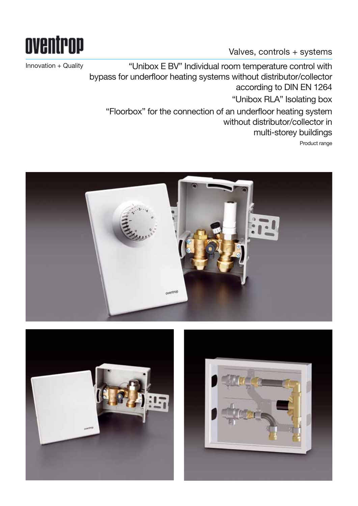

Valves, controls + systems

Innovation + Quality "Unibox E BV" Individual room temperature control with bypass for underfloor heating systems without distributor/collector according to DIN EN 1264 "Unibox RLA" Isolating box "Floorbox" for the connection of an underfloor heating system without distributor/collector in multi-storey buildings Product range



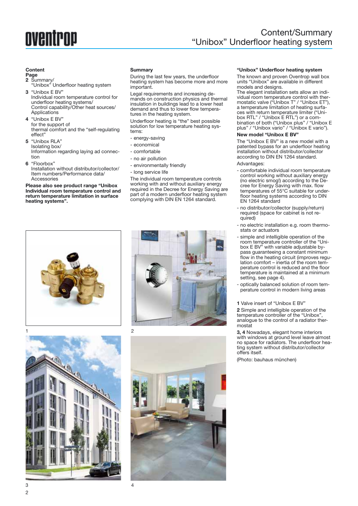## oventrop

### Content/Summary "Unibox" Underfloor heating system

#### **Content**

#### **Page**

- **2** Summary/
- "Unibox" Underfloor heating system **3** "Unibox E BV"
- Individual room temperature control for underfloor heating systems/ Control capability/Other heat sources/ **Applications**
- **4** "Unibox E BV" for the support of thermal comfort and the "self-regulating effect"
- **5** "Unibox RLA" Isolating box/ Information regarding laying ad connection
- **6** "Floorbox" Installation without distributor/collector/ Item numbers/Performance data/ Accessories

**Please also see product range "Unibox Individual room temperature control and return temperature limitation in surface heating systems".**

#### **Summary**

During the last few years, the underfloor heating system has become more and more important.

Legal requirements and increasing demands on construction physics and thermal insulation in buildings lead to a lower heat demand and thus to lower flow temperatures in the heating system.

Underfloor heating is "the" best possible solution for low temperature heating systems:

- energy-saving
- economical
- comfortable
- no air pollution
- environmentally friendly
- long service life

The individual room temperature controls working with and without auxiliary energy required in the Decree for Energy Saving are part of a modern underfloor heating system complying with DIN EN 1264 standard.











#### **"Unibox" Underfloor heating system**

The known and proven Oventrop wall box units "Unibox" are available in different models and designs.

The elegant installation sets allow an individual room temperature control with thermostatic valve ("Unibox T" / "Unibox ET"), a temperature limitation of heating surfaces with return temperature limiter ("Unibox RTL" / "Unibox E RTL") or a combination of both ("Unibox plus" / "Unibox E plus" / "Unibox vario" / "Unibox E vario").

#### **New model "Unibox E BV"**

The "Unibox E BV" is a new model with a patented bypass for an underfloor heating installation without distributor/collector according to DIN EN 1264 standard.

#### Advantages:

- comfortable individual room temperature control working without auxiliary energy (no electric smog!) according to the Decree for Energy Saving with max. flow temperatures of 55°C suitable for underfloor heating systems according to DIN EN 1264 standard
- no distributor/collector (supply/return) required (space for cabinet is not required)
- no electric installation e.g. room thermostats or actuators
- simple and intelligible operation of the room temperature controller of the "Unibox E BV" with variable adjustable bypass guaranteeing a constant minimum flow in the heating circuit (improves regulation comfort – inertia of the room temperature control is reduced and the floor temperature is maintained at a minimum setting, see page 4).
- optically balanced solution of room temperature control in modern living areas

**1** Valve insert of "Unibox E BV"

**2** Simple and intelligible operation of the temperature controller of the "Unibox", analogue to the control of a radiator thermostat

**3, 4** Nowadays, elegant home interiors with windows at ground level leave almost no space for radiators. The underfloor heating system without distributor/collector offers itself.

(Photo: bauhaus münchen)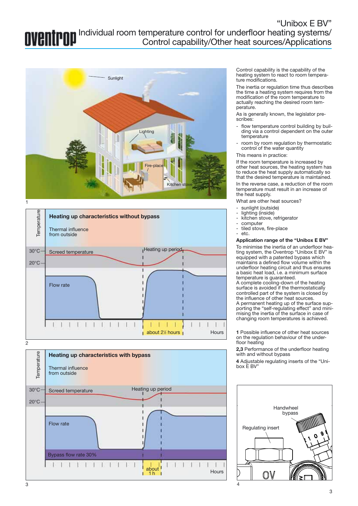"Unibox E BV" Individual room temperature control for underfloor heating systems/ Control capability/Other heat sources/Applications





2



Control capability is the capability of the heating system to react to room temperature modifications.

The inertia or regulation time thus describes the time a heating system requires from the modification of the room temperature to actually reaching the desired room temperature.

As is generally known, the legislator prescribes:

- flow temperature control building by building via a control dependent on the outer temperature
- room by room regulation by thermostatic control of the water quantity
- This means in practice:

If the room temperature is increased by other heat sources, the heating system has to reduce the heat supply automatically so that the desired temperature is maintained.

In the reverse case, a reduction of the room temperature must result in an increase of the heat supply.

What are other heat sources?

- sunlight (outside)
- lighting (inside)
- kitchen stove, refrigerator
- computer
- tiled stove, fire-place etc.

#### **Application range of the "Unibox E BV"**

To minimise the inertia of an underfloor heating system, the Oventrop "Unibox E BV" is equipped with a patented bypass which maintains a defined flow volume within the underfloor heating circuit and thus ensures a basic heat load, i.e. a minimum surface temperature is guaranteed.

A complete cooling-down of the heating surface is avoided if the thermostatically controlled part of the system is closed by the influence of other heat sources. A permanent heating up of the surface supporting the "self-regulating effect" and minimising the inertia of the surface in case of changing room temperatures is achieved.

**1** Possible influence of other heat sources on the regulation behaviour of the underfloor heating

**2,3** Performance of the underfloor heating with and without bypass

**4** Adjustable regulating inserts of the "Unibox E BV"

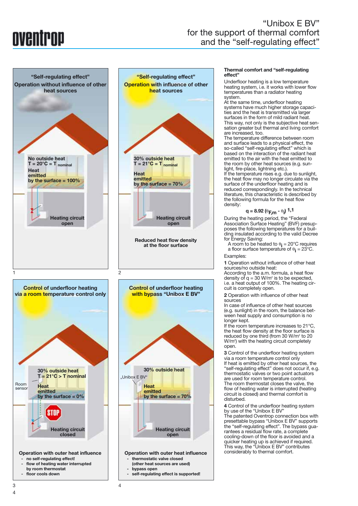## NVANTPND

### "Unibox E BV" for the support of thermal comfort and the "self-regulating effect"



#### **Thermal comfort and "self-regulating effect"**

Underfloor heating is a low temperature heating system, i.e. it works with lower flow temperatures than a radiator heating system.

At the same time, underfloor heating systems have much higher storage capacities and the heat is transmitted via larger surfaces in the form of mild radiant heat. This way, not only is the subjective heat sensation greater but thermal and living comfort are increased, too.

The temperature difference between room and surface leads to a physical effect, the so-called "self-regulating effect" which is based on the interaction of the radiant heat emitted to the air with the heat emitted to the room by other heat sources (e.g. sunlight, fire-place, lightning etc.).

If the temperature rises e.g. due to sunlight, the heat flow may no longer circulate via the surface of the underfloor heating and is reduced correspondingly. In the technical literature, this characteristic is described by the following formula for the heat flow density:

```
q = 8.92 \left( \theta_{F,m} - \theta_i \right) 1,1
```
During the heating period, the "Federal Association Surface Heating" (BVF) presupposes the following temperatures for a building insulated according to the valid Decree for Energy Saving:

A room to be heated to  $\theta_{\mathbf{i}} = 20^{\circ}$ C requires a floor surface temperature of  $\theta_{\mathbf{i}} = 23^{\circ}$ C.

Examples:

**1** Operation without influence of other heat sources/no outside heat:

According to the a.m. formula, a heat flow density of  $q = 30$  W/m<sup>2</sup> is to be expected, i.e. a heat output of 100%. The heating circuit is completely open.

**2** Operation with influence of other heat sources

In case of influence of other heat sources (e.g. sunlight) in the room, the balance between heat supply and consumption is no longer kept.

If the room temperature increases to 21°C, the heat flow density at the floor surface is reduced by one third (from 30 W/m<sup>2</sup> to 20 W/m2 ) with the heating circuit completely open.

**3** Control of the underfloor heating system via a room temperature control only If heat is emitted by other heat sources, the "self-regulating effect" does not occur if, e.g. thermostatic valves or two point actuators are used for room temperature control. The room thermostat closes the valve, the flow of heating water is interrupted (heating circuit is closed) and thermal comfort is disturbed.

**4** Control of the underfloor heating system by use of the "Unibox E BV"

The patented Oventrop connection box with presettable bypass "Unibox E BV" supports the "self-regulating effect". The bypass guarantees a residual flow rate, a complete cooling-down of the floor is avoided and a quicker heating up is achieved if required. This way, the "Unibox E BV" contributes considerably to thermal comfort.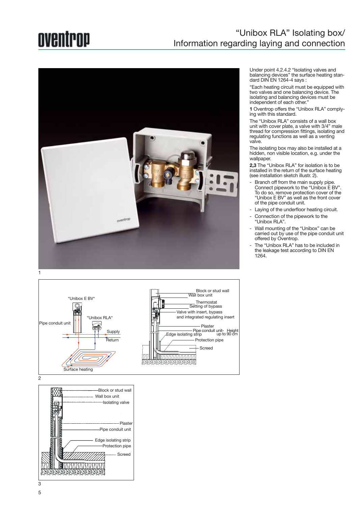### oventrop

### "Unibox RLA" Isolating box/ Information regarding laying and connection



1



Block or stud wall Wall box unit -Isolating valve 大家的复数形式 Plaster Pipe conduit unit Ø Edge isolating strip .<br>Protection pipe Screed<u>INNON NORTH IN IN</u> 

Under point 4.2.4.2 "Isolating valves and balancing devices" the surface heating standard DIN EN 1264-4 says :

"Each heating circuit must be equipped with two valves and one balancing device. The isolating and balancing devices must be independent of each other."

**1** Oventrop offers the "Unibox RLA" complying with this standard.

The "Unibox RLA" consists of a wall box unit with cover plate, a valve with 3/4" male thread for compression fittings, isolating and regulating functions as well as a venting valve.

The isolating box may also be installed at a hidden, non visible location, e.g. under the wallpaper.

**2,3** The "Unibox RLA" for isolation is to be installed in the return of the surface heating (see installation sketch illustr. 2).

- Branch off from the main supply pipe. Connect pipework to the "Unibox E BV". To do so, remove protection cover of the "Unibox E BV" as well as the front cover of the pipe conduit unit.
- Laying of the underfloor heating circuit.
- Connection of the pipework to the "Unibox RLA".
- Wall mounting of the "Unibox" can be carried out by use of the pipe conduit unit offered by Oventrop.
- The "Unibox RLA" has to be included in the leakage test according to DIN EN 1264.